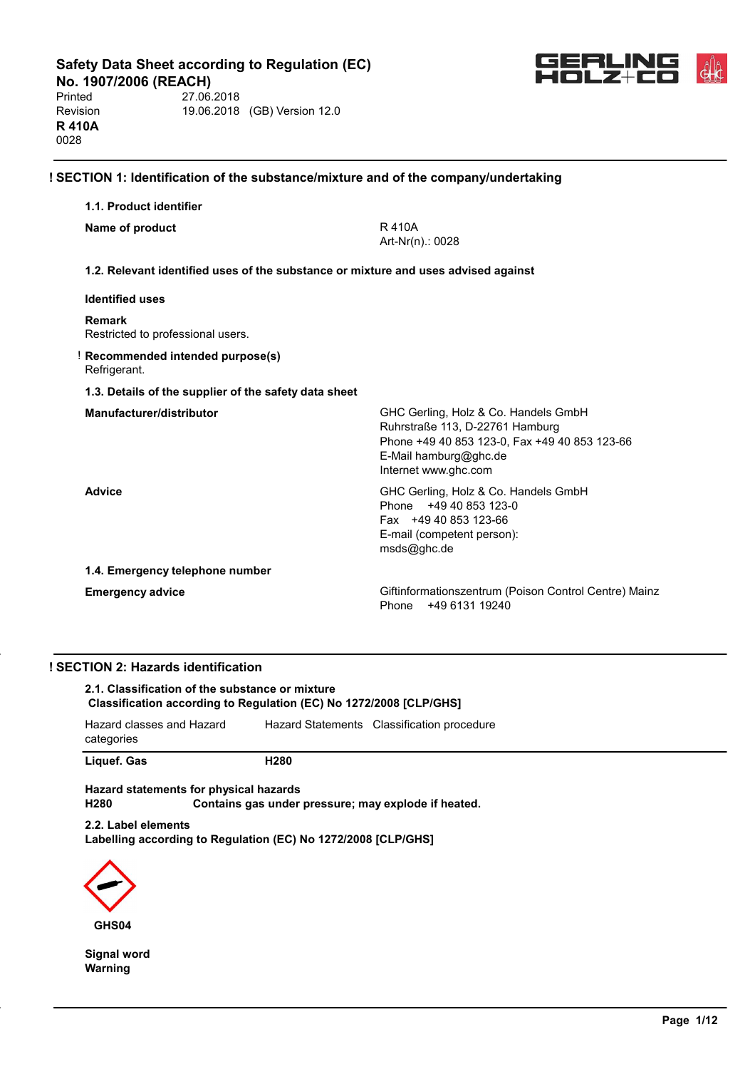**No. 1907/2006 (REACH)**<br>Printed 27.06. 27.06.2018 Revision 19.06.2018 (GB) Version 12.0 **R 410A** 0028



| 1.1. Product identifier                               |                                                                                                                                                                           |
|-------------------------------------------------------|---------------------------------------------------------------------------------------------------------------------------------------------------------------------------|
| Name of product                                       | R 410A<br>Art-Nr(n).: 0028                                                                                                                                                |
|                                                       | 1.2. Relevant identified uses of the substance or mixture and uses advised against                                                                                        |
| <b>Identified uses</b>                                |                                                                                                                                                                           |
| <b>Remark</b><br>Restricted to professional users.    |                                                                                                                                                                           |
| Recommended intended purpose(s)<br>Refrigerant.       |                                                                                                                                                                           |
| 1.3. Details of the supplier of the safety data sheet |                                                                                                                                                                           |
| Manufacturer/distributor                              | GHC Gerling, Holz & Co. Handels GmbH<br>Ruhrstraße 113, D-22761 Hamburg<br>Phone +49 40 853 123-0, Fax +49 40 853 123-66<br>E-Mail hamburg@ghc.de<br>Internet www.ghc.com |
| <b>Advice</b>                                         | GHC Gerling, Holz & Co. Handels GmbH<br>Phone +49 40 853 123-0<br>Fax +49 40 853 123-66<br>E-mail (competent person):<br>msds@ghc.de                                      |
| 1.4. Emergency telephone number                       |                                                                                                                                                                           |
| <b>Emergency advice</b>                               | Giftinformationszentrum (Poison Control Centre) Mainz<br>+49 6131 19240<br>Phone                                                                                          |

## **! SECTION 2: Hazards identification**

**2.1. Classification of the substance or mixture Classification according to Regulation (EC) No 1272/2008 [CLP/GHS]**

| Hazard classes and Hazard | Hazard Statements Classification procedure |
|---------------------------|--------------------------------------------|
| categories                |                                            |

Liquef. Gas **H280** 

**Hazard statements for physical hazards** Contains gas under pressure; may explode if heated.

**2.2. Label elements Labelling according to Regulation (EC) No 1272/2008 [CLP/GHS]**



**Signal word Warning**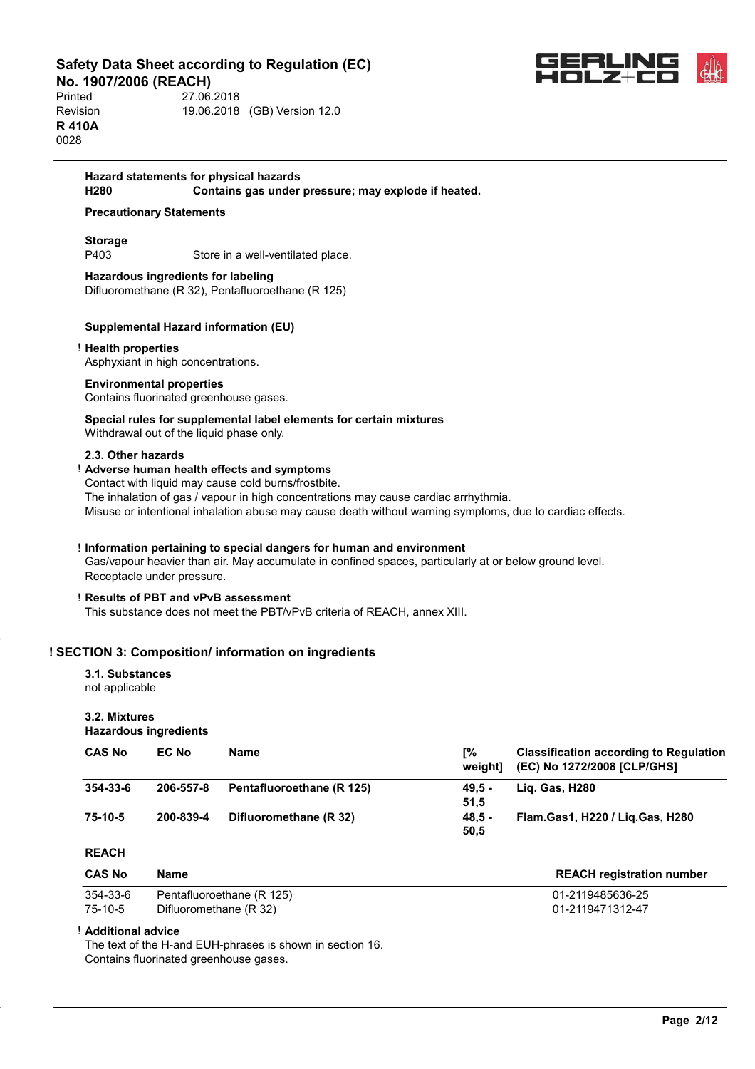**No. 1907/2006 (REACH)**<br>Printed 27.06 Printed 27.06.2018 Revision 19.06.2018 (GB) Version 12.0 **R 410A** 0028



#### **Hazard statements for physical hazards H280 Contains gas under pressure; may explode if heated.**

## **Precautionary Statements**

**Storage** P403 Store in a well-ventilated place.

**Hazardous ingredients for labeling** Difluoromethane (R 32), Pentafluoroethane (R 125)

#### **Supplemental Hazard information (EU)**

#### ! **Health properties**

Asphyxiant in high concentrations.

#### **Environmental properties**

Contains fluorinated greenhouse gases.

## **Special rules for supplemental label elements for certain mixtures**

Withdrawal out of the liquid phase only.

#### **2.3. Other hazards**

## ! **Adverse human health effects and symptoms**

Contact with liquid may cause cold burns/frostbite. The inhalation of gas / vapour in high concentrations may cause cardiac arrhythmia. Misuse or intentional inhalation abuse may cause death without warning symptoms, due to cardiac effects.

#### ! **Information pertaining to special dangers for human and environment**

Gas/vapour heavier than air. May accumulate in confined spaces, particularly at or below ground level. Receptacle under pressure.

#### ! **Results of PBT and vPvB assessment**

This substance does not meet the PBT/vPvB criteria of REACH, annex XIII.

#### **! SECTION 3: Composition/ information on ingredients**

## **3.1. Substances**

not applicable

## **3.2. Mixtures**

#### **Hazardous ingredients**

| <b>CAS No</b> | <b>EC No</b> | <b>Name</b>               | Γ%<br>weightl | <b>Classification according to Regulation</b><br>(EC) No 1272/2008 [CLP/GHS] |
|---------------|--------------|---------------------------|---------------|------------------------------------------------------------------------------|
| 354-33-6      | 206-557-8    | Pentafluoroethane (R 125) | 49.5 -        | <b>Lig. Gas, H280</b>                                                        |
|               |              |                           | 51.5          |                                                                              |
| 75-10-5       | 200-839-4    | Difluoromethane (R 32)    | 48.5 -        | Flam.Gas1, H220 / Lig.Gas, H280                                              |
|               |              |                           | 50,5          |                                                                              |

#### **REACH**

| <b>CAS No</b> | Name                      | <b>REACH registration number</b> |
|---------------|---------------------------|----------------------------------|
| 354-33-6      | Pentafluoroethane (R 125) | 01-2119485636-25                 |
| 75-10-5       | Difluoromethane (R 32)    | 01-2119471312-47                 |

#### ! **Additional advice**

The text of the H-and EUH-phrases is shown in section 16. Contains fluorinated greenhouse gases.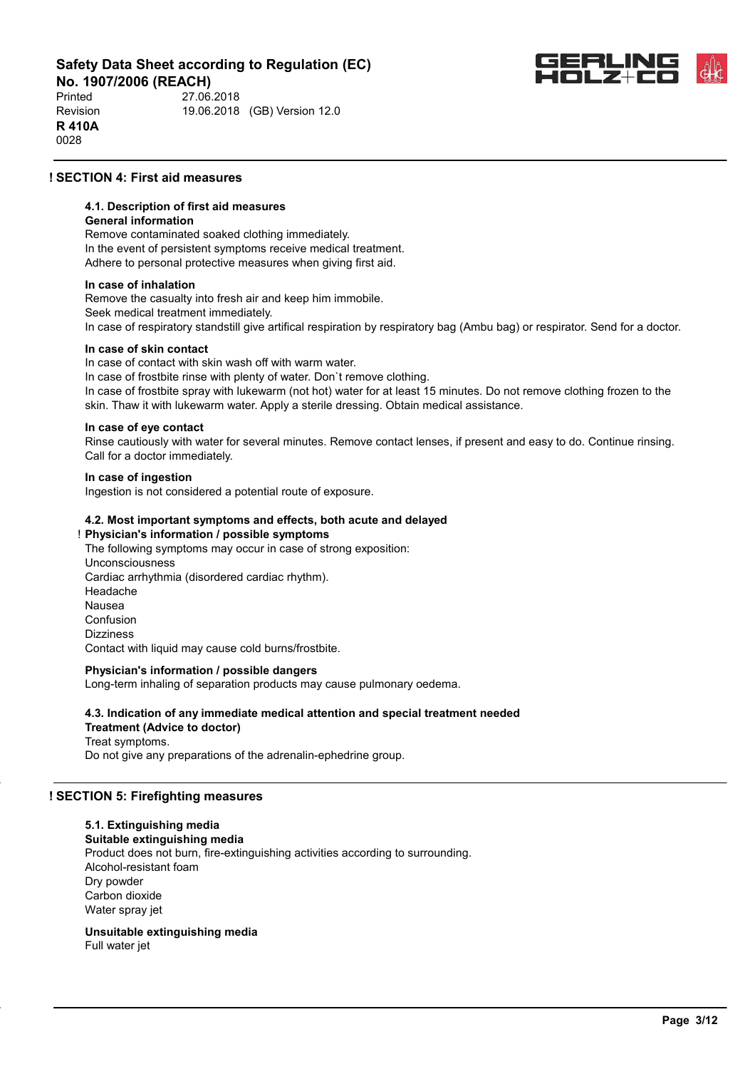**No. 1907/2006 (REACH)**<br>Printed 27.06 Printed 27.06.2018 Revision 19.06.2018 (GB) Version 12.0 **R 410A** 0028



## **! SECTION 4: First aid measures**

#### **4.1. Description of first aid measures**

#### **General information**

Remove contaminated soaked clothing immediately. In the event of persistent symptoms receive medical treatment. Adhere to personal protective measures when giving first aid.

#### **In case of inhalation**

Remove the casualty into fresh air and keep him immobile. Seek medical treatment immediately. In case of respiratory standstill give artifical respiration by respiratory bag (Ambu bag) or respirator. Send for a doctor.

#### **In case of skin contact**

In case of contact with skin wash off with warm water.

In case of frostbite rinse with plenty of water. Don`t remove clothing. In case of frostbite spray with lukewarm (not hot) water for at least 15 minutes. Do not remove clothing frozen to the skin. Thaw it with lukewarm water. Apply a sterile dressing. Obtain medical assistance.

#### **In case of eye contact**

Rinse cautiously with water for several minutes. Remove contact lenses, if present and easy to do. Continue rinsing. Call for a doctor immediately.

#### **In case of ingestion**

Ingestion is not considered a potential route of exposure.

#### **4.2. Most important symptoms and effects, both acute and delayed**

! **Physician's information / possible symptoms** The following symptoms may occur in case of strong exposition: Unconsciousness Cardiac arrhythmia (disordered cardiac rhythm). Headache Nausea Confusion Dizziness Contact with liquid may cause cold burns/frostbite.

#### **Physician's information / possible dangers**

Long-term inhaling of separation products may cause pulmonary oedema.

## **4.3. Indication of any immediate medical attention and special treatment needed**

**Treatment (Advice to doctor)** Treat symptoms. Do not give any preparations of the adrenalin-ephedrine group.

#### **! SECTION 5: Firefighting measures**

#### **5.1. Extinguishing media**

**Suitable extinguishing media** Product does not burn, fire-extinguishing activities according to surrounding. Alcohol-resistant foam Dry powder Carbon dioxide Water spray jet

**Unsuitable extinguishing media** Full water jet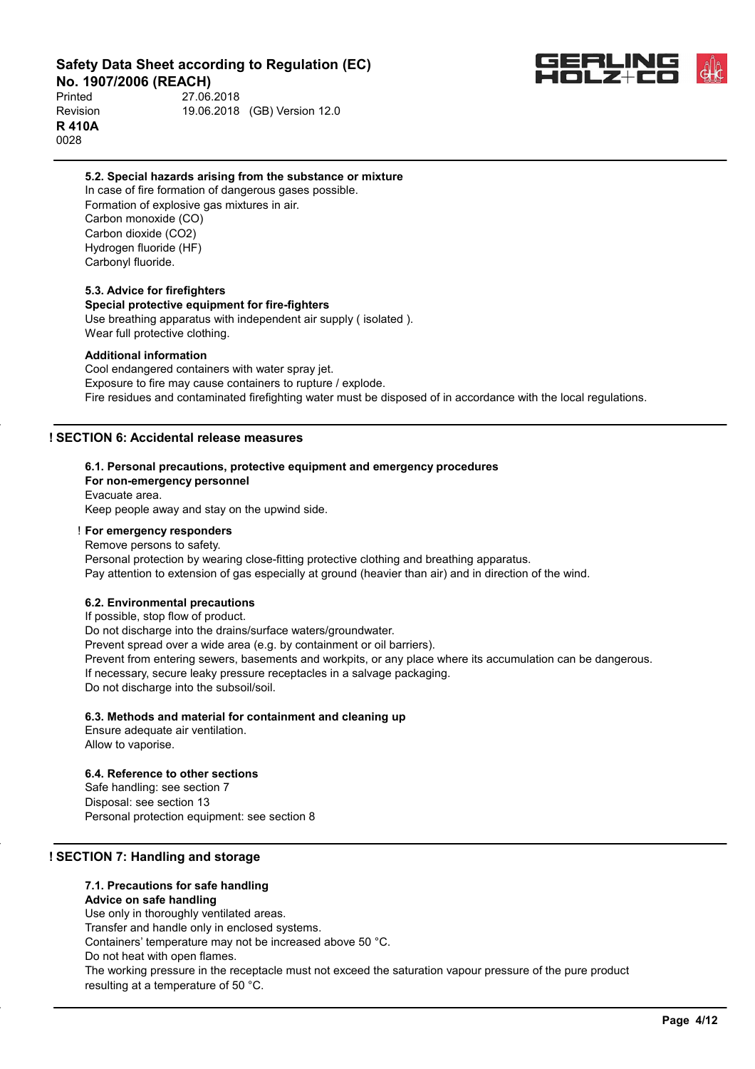

**No. 1907/2006 (REACH)**<br>Printed 27.06. Printed 27.06.2018 Revision 19.06.2018 (GB) Version 12.0 **R 410A** 0028

#### **5.2. Special hazards arising from the substance or mixture**

In case of fire formation of dangerous gases possible. Formation of explosive gas mixtures in air. Carbon monoxide (CO) Carbon dioxide (CO2) Hydrogen fluoride (HF) Carbonyl fluoride.

#### **5.3. Advice for firefighters**

#### **Special protective equipment for fire-fighters**

Use breathing apparatus with independent air supply ( isolated ). Wear full protective clothing.

#### **Additional information**

Cool endangered containers with water spray jet. Exposure to fire may cause containers to rupture / explode. Fire residues and contaminated firefighting water must be disposed of in accordance with the local regulations.

#### **! SECTION 6: Accidental release measures**

#### **6.1. Personal precautions, protective equipment and emergency procedures**

**For non-emergency personnel** Evacuate area. Keep people away and stay on the upwind side.

## ! **For emergency responders**

Remove persons to safety. Personal protection by wearing close-fitting protective clothing and breathing apparatus. Pay attention to extension of gas especially at ground (heavier than air) and in direction of the wind.

#### **6.2. Environmental precautions**

If possible, stop flow of product.

Do not discharge into the drains/surface waters/groundwater. Prevent spread over a wide area (e.g. by containment or oil barriers). Prevent from entering sewers, basements and workpits, or any place where its accumulation can be dangerous. If necessary, secure leaky pressure receptacles in a salvage packaging. Do not discharge into the subsoil/soil.

#### **6.3. Methods and material for containment and cleaning up**

Ensure adequate air ventilation. Allow to vaporise.

## **6.4. Reference to other sections**

Safe handling: see section 7 Disposal: see section 13 Personal protection equipment: see section 8

#### **! SECTION 7: Handling and storage**

## **7.1. Precautions for safe handling**

**Advice on safe handling** Use only in thoroughly ventilated areas. Transfer and handle only in enclosed systems. Containers' temperature may not be increased above 50 °C. Do not heat with open flames. The working pressure in the receptacle must not exceed the saturation vapour pressure of the pure product resulting at a temperature of 50 °C.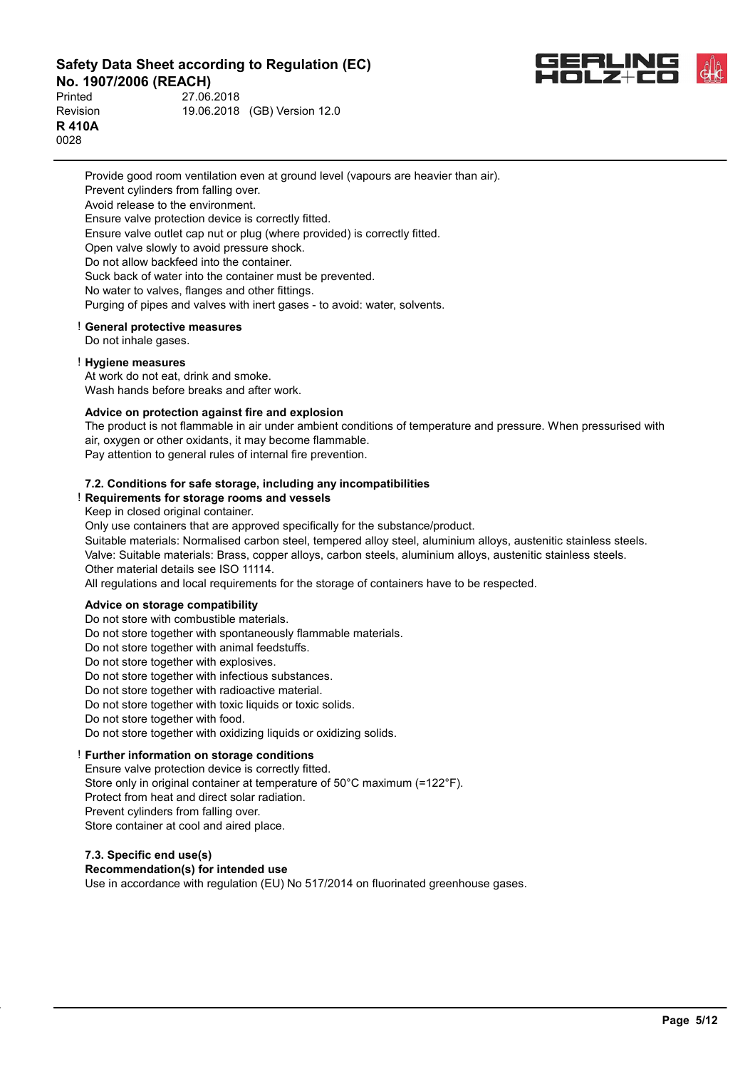Printed 27.06.2018



**No. 1907/2006 (REACH)**<br>Printed 27.06 Revision 19.06.2018 (GB) Version 12.0 **R 410A** 0028

> Provide good room ventilation even at ground level (vapours are heavier than air). Prevent cylinders from falling over. Avoid release to the environment. Ensure valve protection device is correctly fitted. Ensure valve outlet cap nut or plug (where provided) is correctly fitted. Open valve slowly to avoid pressure shock. Do not allow backfeed into the container. Suck back of water into the container must be prevented. No water to valves, flanges and other fittings. Purging of pipes and valves with inert gases - to avoid: water, solvents.

#### ! **General protective measures**

Do not inhale gases.

#### ! **Hygiene measures**

At work do not eat, drink and smoke. Wash hands before breaks and after work.

#### **Advice on protection against fire and explosion**

The product is not flammable in air under ambient conditions of temperature and pressure. When pressurised with air, oxygen or other oxidants, it may become flammable.

Pay attention to general rules of internal fire prevention.

#### **7.2. Conditions for safe storage, including any incompatibilities**

#### ! **Requirements for storage rooms and vessels**

Keep in closed original container.

Only use containers that are approved specifically for the substance/product.

Suitable materials: Normalised carbon steel, tempered alloy steel, aluminium alloys, austenitic stainless steels. Valve: Suitable materials: Brass, copper alloys, carbon steels, aluminium alloys, austenitic stainless steels. Other material details see ISO 11114.

All regulations and local requirements for the storage of containers have to be respected.

#### **Advice on storage compatibility**

Do not store with combustible materials.

Do not store together with spontaneously flammable materials.

Do not store together with animal feedstuffs.

Do not store together with explosives.

Do not store together with infectious substances.

Do not store together with radioactive material.

Do not store together with toxic liquids or toxic solids.

Do not store together with food.

Do not store together with oxidizing liquids or oxidizing solids.

## ! **Further information on storage conditions**

Ensure valve protection device is correctly fitted. Store only in original container at temperature of 50°C maximum (=122°F). Protect from heat and direct solar radiation. Prevent cylinders from falling over. Store container at cool and aired place.

#### **7.3. Specific end use(s)**

#### **Recommendation(s) for intended use**

Use in accordance with regulation (EU) No 517/2014 on fluorinated greenhouse gases.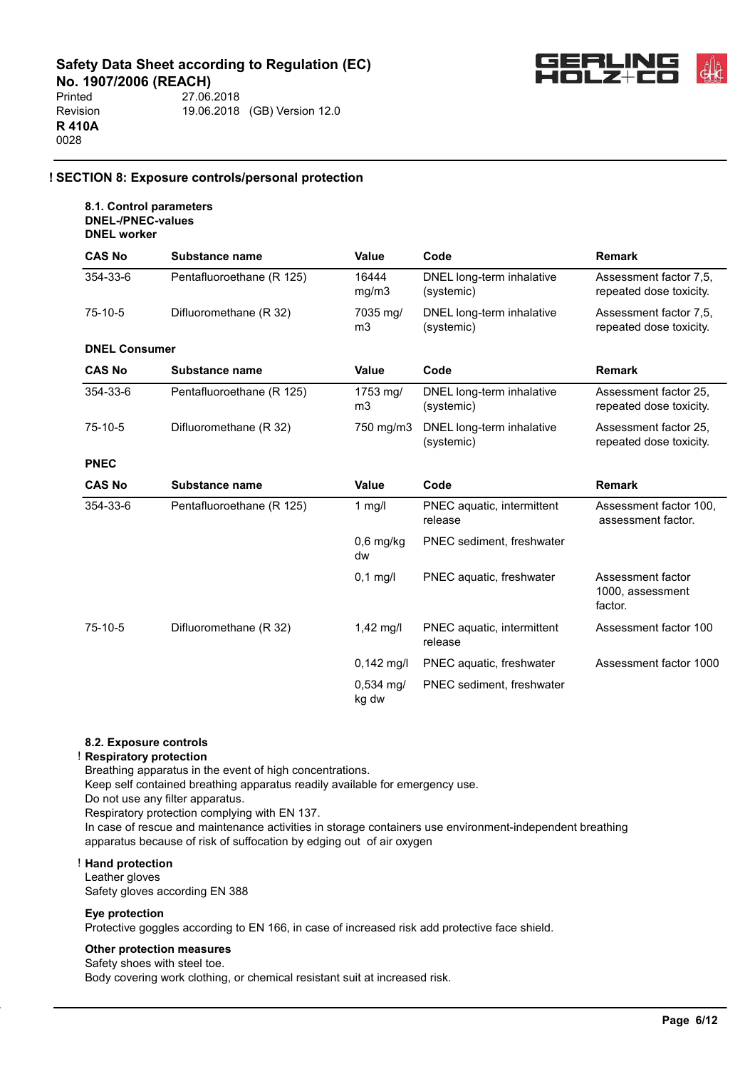

**No. 1907/2006 (REACH)**<br>Printed 27.06. 27.06.2018 Revision 19.06.2018 (GB) Version 12.0 **R 410A** 0028

## **! SECTION 8: Exposure controls/personal protection**

#### **8.1. Control parameters DNEL-/PNEC-values DNEL worker**

| <b>CAS No</b>        | Substance name            | <b>Value</b>               | Code                                    | <b>Remark</b>                                     |
|----------------------|---------------------------|----------------------------|-----------------------------------------|---------------------------------------------------|
| 354-33-6             | Pentafluoroethane (R 125) | 16444<br>mg/m3             | DNEL long-term inhalative<br>(systemic) | Assessment factor 7.5.<br>repeated dose toxicity. |
| $75-10-5$            | Difluoromethane (R 32)    | 7035 mg/<br>m <sub>3</sub> | DNEL long-term inhalative<br>(systemic) | Assessment factor 7,5,<br>repeated dose toxicity. |
| <b>DNEL Consumer</b> |                           |                            |                                         |                                                   |
| <b>CAS No</b>        | Substance name            | Value                      | Code                                    | <b>Remark</b>                                     |
| 354-33-6             | Pentafluoroethane (R 125) | 1753 mg/<br>m <sub>3</sub> | DNEL long-term inhalative<br>(systemic) | Assessment factor 25,<br>repeated dose toxicity.  |
| 75-10-5              | Difluoromethane (R 32)    | 750 mg/m3                  | DNEL long-term inhalative<br>(systemic) | Assessment factor 25,<br>repeated dose toxicity.  |
| <b>PNEC</b>          |                           |                            |                                         |                                                   |
| <b>CAS No</b>        | Substance name            | Value                      | Code                                    | <b>Remark</b>                                     |
| 354-33-6             | Pentafluoroethane (R 125) | 1 $mg/l$                   | PNEC aquatic, intermittent<br>release   | Assessment factor 100,<br>assessment factor.      |
|                      |                           | $0,6$ mg/kg<br>dw          | PNEC sediment, freshwater               |                                                   |
|                      |                           | $0,1$ mg/l                 | PNEC aquatic, freshwater                | Assessment factor<br>1000, assessment<br>factor.  |
| $75-10-5$            | Difluoromethane (R 32)    | 1,42 mg/l                  | PNEC aquatic, intermittent<br>release   | Assessment factor 100                             |
|                      |                           | $0,142$ mg/l               | PNEC aquatic, freshwater                | Assessment factor 1000                            |
|                      |                           | $0.534$ mg/<br>kg dw       | PNEC sediment, freshwater               |                                                   |

#### **8.2. Exposure controls**

#### ! **Respiratory protection**

Breathing apparatus in the event of high concentrations.

Keep self contained breathing apparatus readily available for emergency use.

Do not use any filter apparatus.

Respiratory protection complying with EN 137.

In case of rescue and maintenance activities in storage containers use environment-independent breathing apparatus because of risk of suffocation by edging out of air oxygen

#### ! **Hand protection**

Leather gloves Safety gloves according EN 388

## **Eye protection**

Protective goggles according to EN 166, in case of increased risk add protective face shield.

#### **Other protection measures**

Safety shoes with steel toe.

Body covering work clothing, or chemical resistant suit at increased risk.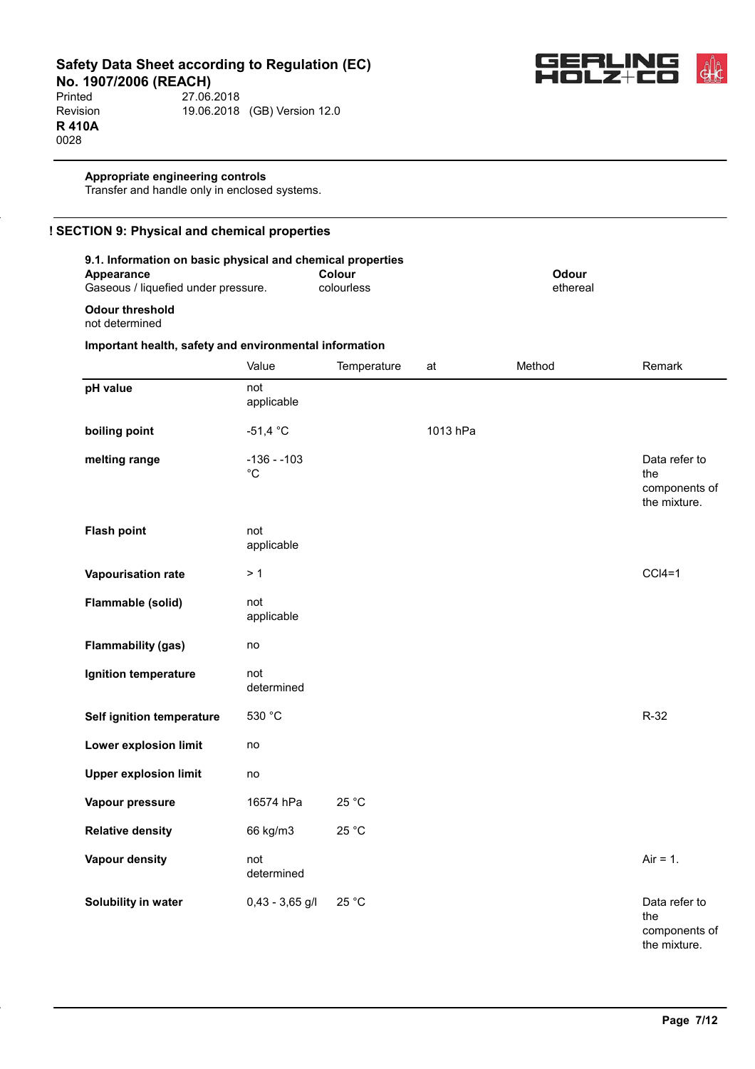

Printed 27.06.2018<br>Revision 19.06.2018 19.06.2018 (GB) Version 12.0 **R 410A** 0028

### **Appropriate engineering controls**

Transfer and handle only in enclosed systems.

| 9.1. Information on basic physical and chemical properties<br>Appearance<br>Gaseous / liquefied under pressure. |                              | Colour<br>colourless |          | Odour<br>ethereal |                                                       |
|-----------------------------------------------------------------------------------------------------------------|------------------------------|----------------------|----------|-------------------|-------------------------------------------------------|
| <b>Odour threshold</b><br>not determined                                                                        |                              |                      |          |                   |                                                       |
| Important health, safety and environmental information                                                          |                              |                      |          |                   |                                                       |
|                                                                                                                 | Value                        | Temperature          | at       | Method            | Remark                                                |
| pH value                                                                                                        | not<br>applicable            |                      |          |                   |                                                       |
| boiling point                                                                                                   | $-51,4 °C$                   |                      | 1013 hPa |                   |                                                       |
| melting range                                                                                                   | $-136 - 103$<br>$^{\circ}$ C |                      |          |                   | Data refer to<br>the<br>components of<br>the mixture. |
| <b>Flash point</b>                                                                                              | not<br>applicable            |                      |          |                   |                                                       |
| Vapourisation rate                                                                                              | > 1                          |                      |          |                   | $CCI4=1$                                              |
| Flammable (solid)                                                                                               | not<br>applicable            |                      |          |                   |                                                       |
| <b>Flammability (gas)</b>                                                                                       | no                           |                      |          |                   |                                                       |
| Ignition temperature                                                                                            | not<br>determined            |                      |          |                   |                                                       |
| Self ignition temperature                                                                                       | 530 °C                       |                      |          |                   | $R-32$                                                |
| Lower explosion limit                                                                                           | no                           |                      |          |                   |                                                       |
| <b>Upper explosion limit</b>                                                                                    | no                           |                      |          |                   |                                                       |
| Vapour pressure                                                                                                 | 16574 hPa                    | 25 °C                |          |                   |                                                       |
| <b>Relative density</b>                                                                                         | 66 kg/m3                     | 25 °C                |          |                   |                                                       |
| <b>Vapour density</b>                                                                                           | not<br>determined            |                      |          |                   | $Air = 1.$                                            |
| Solubility in water                                                                                             | $0,43 - 3,65$ g/l            | 25 °C                |          |                   | Data refer to<br>the                                  |

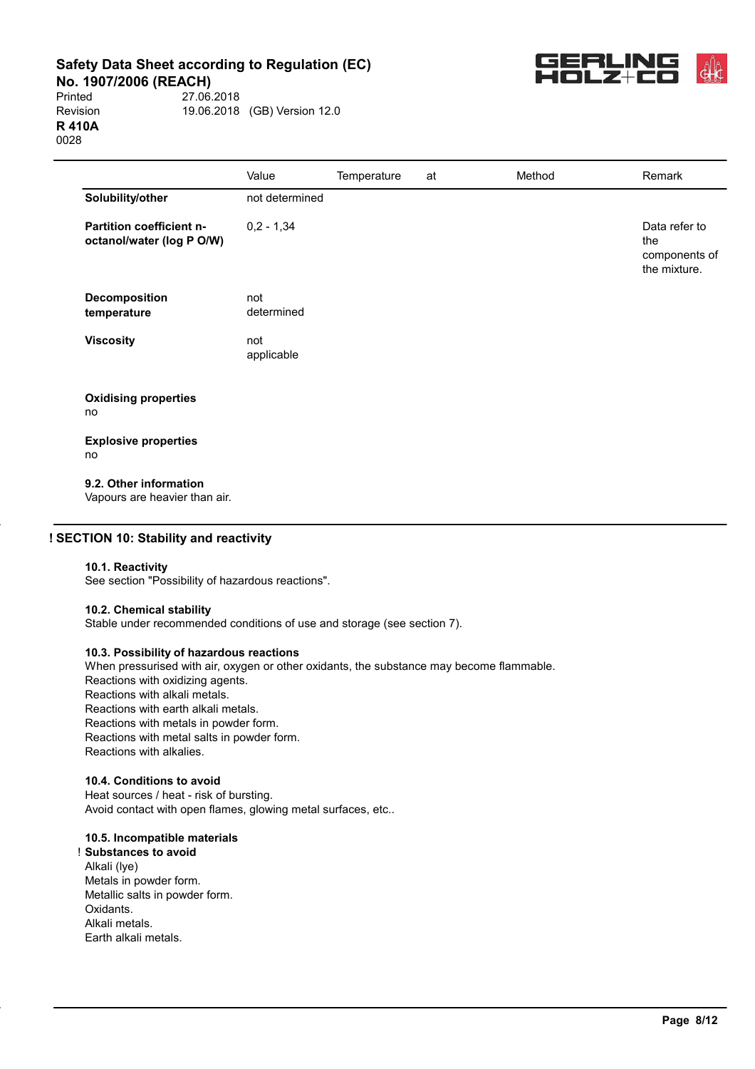**No. 1907/2006 (REACH)**<br>Printed 27.06.

27.06.2018 Revision 19.06.2018 (GB) Version 12.0 **R 410A** 0028



|                                                              | Value             | Temperature | at | Method | Remark                                                |
|--------------------------------------------------------------|-------------------|-------------|----|--------|-------------------------------------------------------|
| Solubility/other                                             | not determined    |             |    |        |                                                       |
| <b>Partition coefficient n-</b><br>octanol/water (log P O/W) | $0,2 - 1,34$      |             |    |        | Data refer to<br>the<br>components of<br>the mixture. |
| <b>Decomposition</b><br>temperature                          | not<br>determined |             |    |        |                                                       |
| <b>Viscosity</b>                                             | not<br>applicable |             |    |        |                                                       |
| <b>Oxidising properties</b><br>no                            |                   |             |    |        |                                                       |
| <b>Explosive properties</b><br>no                            |                   |             |    |        |                                                       |
| 9.2. Other information                                       |                   |             |    |        |                                                       |

Vapours are heavier than air.

## **! SECTION 10: Stability and reactivity**

#### **10.1. Reactivity**

See section "Possibility of hazardous reactions".

#### **10.2. Chemical stability**

Stable under recommended conditions of use and storage (see section 7).

#### **10.3. Possibility of hazardous reactions**

When pressurised with air, oxygen or other oxidants, the substance may become flammable. Reactions with oxidizing agents. Reactions with alkali metals. Reactions with earth alkali metals. Reactions with metals in powder form. Reactions with metal salts in powder form. Reactions with alkalies.

## **10.4. Conditions to avoid**

Heat sources / heat - risk of bursting. Avoid contact with open flames, glowing metal surfaces, etc..

#### **10.5. Incompatible materials**

! **Substances to avoid** Alkali (lye) Metals in powder form. Metallic salts in powder form. Oxidants. Alkali metals. Earth alkali metals.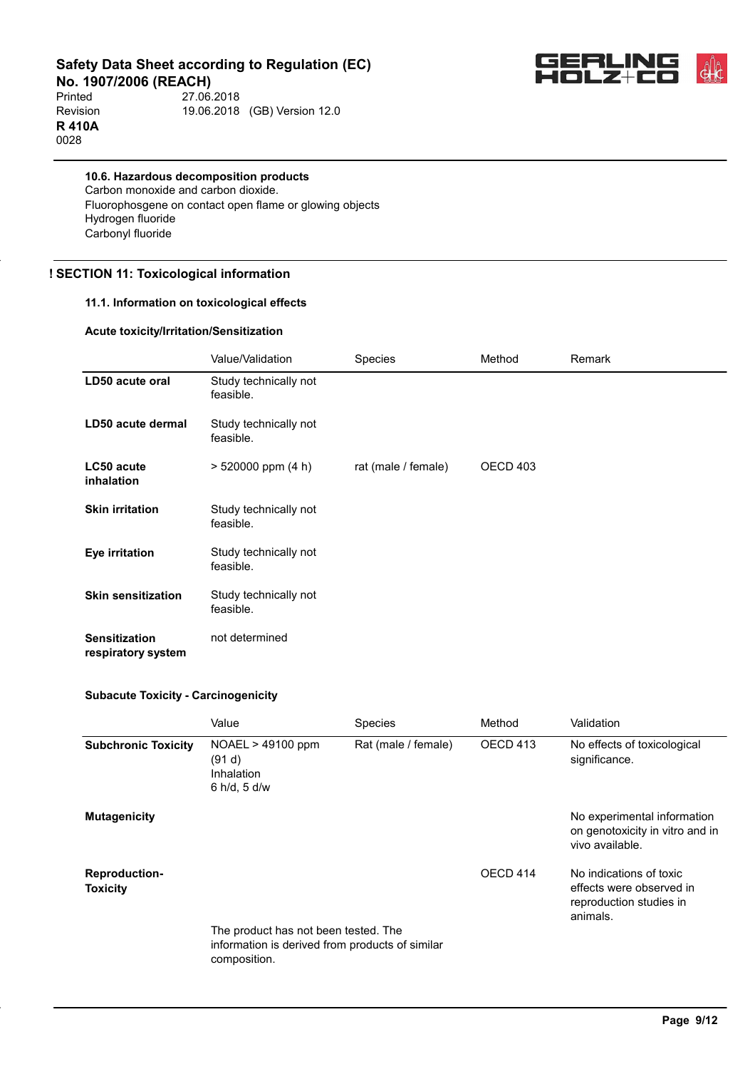

**No. 1907/2006 (REACH)**<br>Printed 27.06. 27.06.2018 Revision 19.06.2018 (GB) Version 12.0 **R 410A** 0028

**10.6. Hazardous decomposition products** Carbon monoxide and carbon dioxide. Fluorophosgene on contact open flame or glowing objects Hydrogen fluoride Carbonyl fluoride

## **! SECTION 11: Toxicological information**

## **11.1. Information on toxicological effects**

#### **Acute toxicity/Irritation/Sensitization**

|                                            | Value/Validation                   | Species             | Method   | Remark |
|--------------------------------------------|------------------------------------|---------------------|----------|--------|
| LD50 acute oral                            | Study technically not<br>feasible. |                     |          |        |
| LD50 acute dermal                          | Study technically not<br>feasible. |                     |          |        |
| LC50 acute<br>inhalation                   | $> 520000$ ppm (4 h)               | rat (male / female) | OECD 403 |        |
| <b>Skin irritation</b>                     | Study technically not<br>feasible. |                     |          |        |
| Eye irritation                             | Study technically not<br>feasible. |                     |          |        |
| <b>Skin sensitization</b>                  | Study technically not<br>feasible. |                     |          |        |
| <b>Sensitization</b><br>respiratory system | not determined                     |                     |          |        |

#### **Subacute Toxicity - Carcinogenicity**

|                                         | Value                                                                                                   | <b>Species</b>      | Method   | Validation                                                                                 |
|-----------------------------------------|---------------------------------------------------------------------------------------------------------|---------------------|----------|--------------------------------------------------------------------------------------------|
| <b>Subchronic Toxicity</b>              | $NOAEL > 49100$ ppm<br>(91 d)<br>Inhalation<br>6 h/d, 5 d/w                                             | Rat (male / female) | OECD 413 | No effects of toxicological<br>significance.                                               |
| <b>Mutagenicity</b>                     |                                                                                                         |                     |          | No experimental information<br>on genotoxicity in vitro and in<br>vivo available.          |
| <b>Reproduction-</b><br><b>Toxicity</b> | The product has not been tested. The<br>information is derived from products of similar<br>composition. |                     | OECD 414 | No indications of toxic<br>effects were observed in<br>reproduction studies in<br>animals. |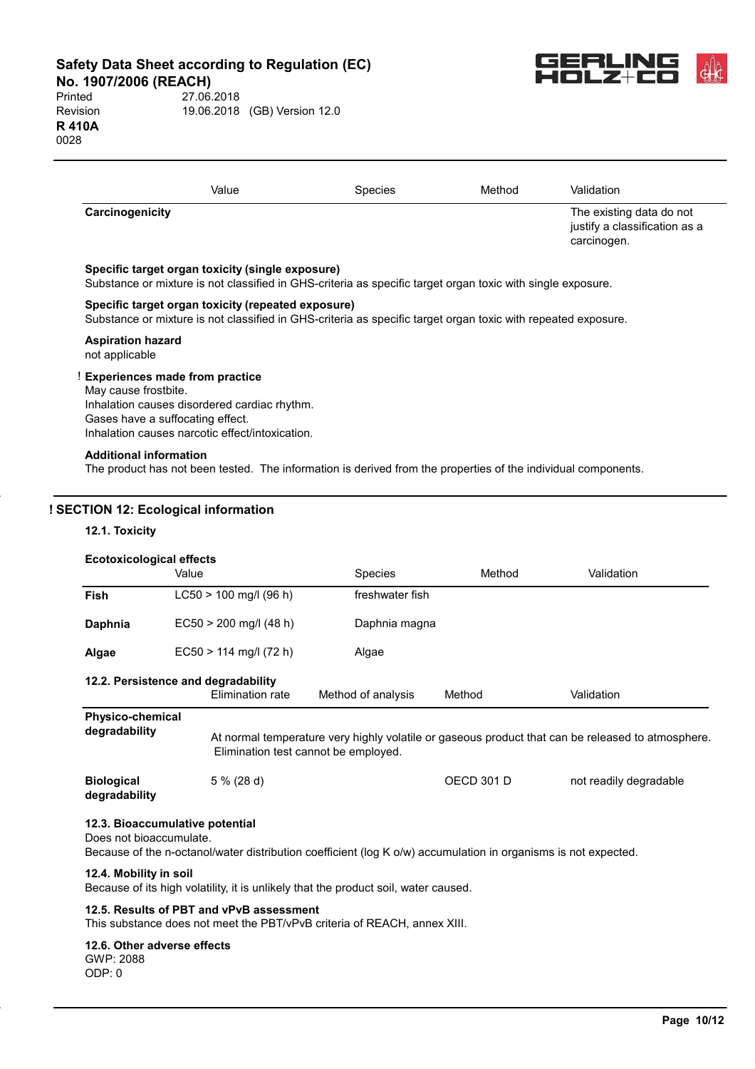**No. 1907/2006 (REACH)**<br>Printed 27.06.





|                 | Value | <b>Species</b> | Method | Validation                                                               |
|-----------------|-------|----------------|--------|--------------------------------------------------------------------------|
| Carcinogenicity |       |                |        | The existing data do not<br>justify a classification as a<br>carcinogen. |

#### **Specific target organ toxicity (single exposure)**

Substance or mixture is not classified in GHS-criteria as specific target organ toxic with single exposure.

#### **Specific target organ toxicity (repeated exposure)**

Substance or mixture is not classified in GHS-criteria as specific target organ toxic with repeated exposure.

#### **Aspiration hazard**

not applicable

#### ! **Experiences made from practice**

May cause frostbite. Inhalation causes disordered cardiac rhythm. Gases have a suffocating effect. Inhalation causes narcotic effect/intoxication.

#### **Additional information**

The product has not been tested. The information is derived from the properties of the individual components.

#### **! SECTION 12: Ecological information**

#### **12.1. Toxicity**

#### **Ecotoxicological effects**

|                                          | Value                                                   | <b>Species</b>                       | Method            | Validation                                                                                        |
|------------------------------------------|---------------------------------------------------------|--------------------------------------|-------------------|---------------------------------------------------------------------------------------------------|
| <b>Fish</b>                              | $LC50 > 100$ mg/l (96 h)                                | freshwater fish                      |                   |                                                                                                   |
| Daphnia                                  | $EC50 > 200$ mg/l (48 h)                                | Daphnia magna                        |                   |                                                                                                   |
| Algae                                    | $EC50 > 114$ mg/l (72 h)                                | Algae                                |                   |                                                                                                   |
|                                          | 12.2. Persistence and degradability<br>Elimination rate | Method of analysis                   | Method            | Validation                                                                                        |
| <b>Physico-chemical</b><br>degradability |                                                         | Elimination test cannot be employed. |                   | At normal temperature very highly volatile or gaseous product that can be released to atmosphere. |
| <b>Biological</b><br>degradability       | $5\%$ (28 d)                                            |                                      | <b>OECD 301 D</b> | not readily degradable                                                                            |
| Does not bioaccumulate.                  | 12.3. Bioaccumulative potential                         |                                      |                   |                                                                                                   |

Because of the n-octanol/water distribution coefficient (log K o/w) accumulation in organisms is not expected.

#### **12.4. Mobility in soil**

Because of its high volatility, it is unlikely that the product soil, water caused.

## **12.5. Results of PBT and vPvB assessment**

This substance does not meet the PBT/vPvB criteria of REACH, annex XIII.

#### **12.6. Other adverse effects**

GWP: 2088 ODP: 0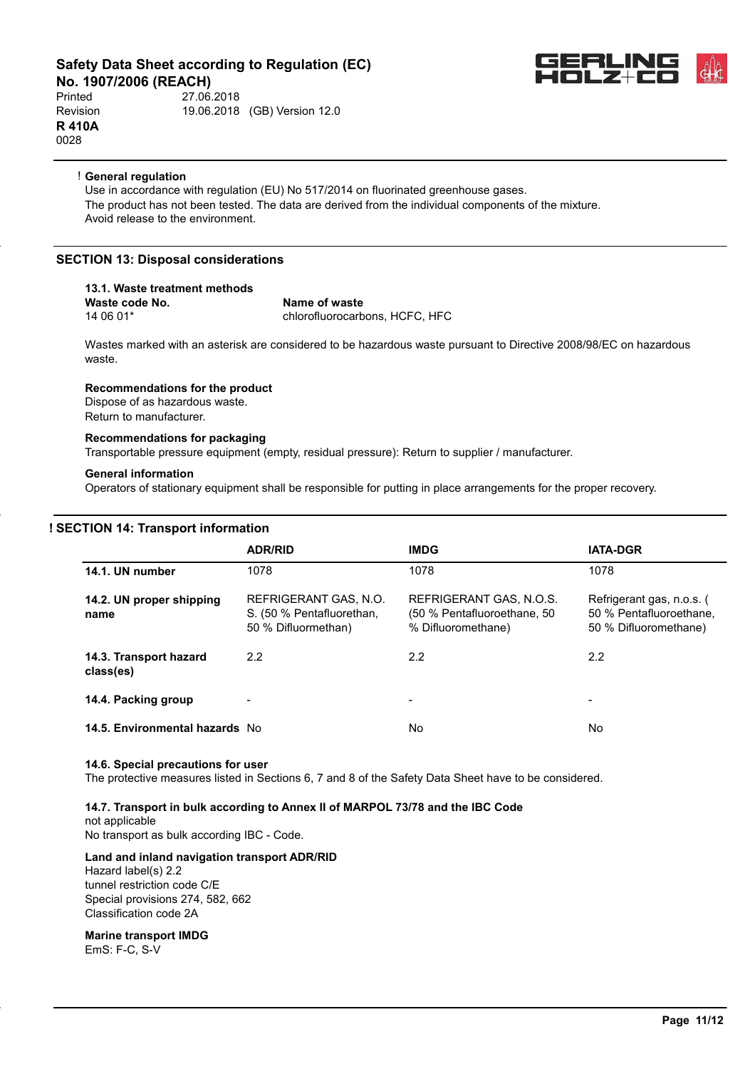# **No. 1907/2006 (REACH)**<br>Printed 27.06.

Printed 27.06.2018 Revision 19.06.2018 (GB) Version 12.0 **R 410A** 0028



#### ! **General regulation**

Use in accordance with regulation (EU) No 517/2014 on fluorinated greenhouse gases. The product has not been tested. The data are derived from the individual components of the mixture. Avoid release to the environment.

#### **SECTION 13: Disposal considerations**

## **13.1. Waste treatment methods**

**Waste code No.** Name of waste 14 06 01\* chlorofluorocarbons, HCFC, HFC

Wastes marked with an asterisk are considered to be hazardous waste pursuant to Directive 2008/98/EC on hazardous waste.

#### **Recommendations for the product**

Dispose of as hazardous waste. Return to manufacturer.

#### **Recommendations for packaging**

Transportable pressure equipment (empty, residual pressure): Return to supplier / manufacturer.

#### **General information**

Operators of stationary equipment shall be responsible for putting in place arrangements for the proper recovery.

## **! SECTION 14: Transport information**

|                                     | <b>ADR/RID</b>                                                            | <b>IMDG</b>                                                                  | <b>IATA-DGR</b>                                                               |
|-------------------------------------|---------------------------------------------------------------------------|------------------------------------------------------------------------------|-------------------------------------------------------------------------------|
| 14.1. UN number                     | 1078                                                                      | 1078                                                                         | 1078                                                                          |
| 14.2. UN proper shipping<br>name    | REFRIGERANT GAS, N.O.<br>S. (50 % Pentafluorethan,<br>50 % Difluormethan) | REFRIGERANT GAS, N.O.S.<br>(50 % Pentafluoroethane, 50<br>% Difluoromethane) | Refrigerant gas, n.o.s. (<br>50 % Pentafluoroethane.<br>50 % Difluoromethane) |
| 14.3. Transport hazard<br>class(es) | 2.2                                                                       | 2.2                                                                          | 2.2                                                                           |
| 14.4. Packing group                 |                                                                           | -                                                                            |                                                                               |
| 14.5. Environmental hazards No      |                                                                           | No                                                                           | No.                                                                           |

#### **14.6. Special precautions for user**

The protective measures listed in Sections 6, 7 and 8 of the Safety Data Sheet have to be considered.

**14.7. Transport in bulk according to Annex II of MARPOL 73/78 and the IBC Code** not applicable

No transport as bulk according IBC - Code.

#### **Land and inland navigation transport ADR/RID**

Hazard label(s) 2.2 tunnel restriction code C/E Special provisions 274, 582, 662 Classification code 2A

## **Marine transport IMDG**

EmS: F-C, S-V